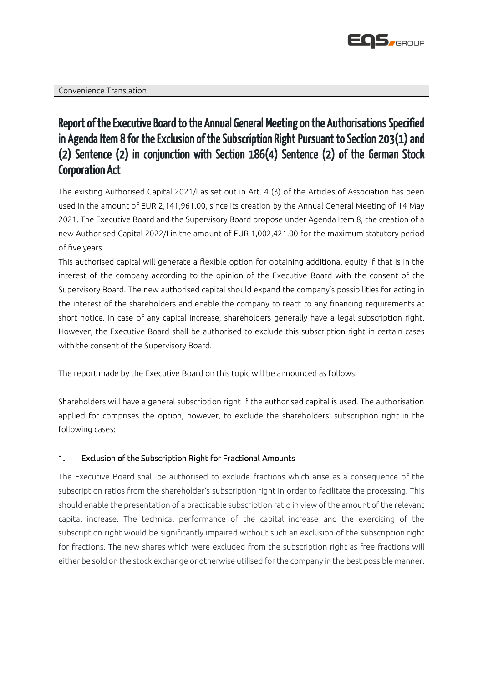

# Report of the Executive Board to the Annual General Meeting on the Authorisations Specified in Agenda Item 8 for the Exclusion of the Subscription Right Pursuant to Section 203(1) and (2) Sentence (2) in conjunction with Section 186(4) Sentence (2) of the German Stock Corporation Act

The existing Authorised Capital 2021/I as set out in Art. 4 (3) of the Articles of Association has been used in the amount of EUR 2,141,961.00, since its creation by the Annual General Meeting of 14 May 2021. The Executive Board and the Supervisory Board propose under Agenda Item 8, the creation of a new Authorised Capital 2022/I in the amount of EUR 1,002,421.00 for the maximum statutory period of five years.

This authorised capital will generate a flexible option for obtaining additional equity if that is in the interest of the company according to the opinion of the Executive Board with the consent of the Supervisory Board. The new authorised capital should expand the company's possibilities for acting in the interest of the shareholders and enable the company to react to any financing requirements at short notice. In case of any capital increase, shareholders generally have a legal subscription right. However, the Executive Board shall be authorised to exclude this subscription right in certain cases with the consent of the Supervisory Board.

The report made by the Executive Board on this topic will be announced as follows:

Shareholders will have a general subscription right if the authorised capital is used. The authorisation applied for comprises the option, however, to exclude the shareholders' subscription right in the following cases:

## 1. Exclusion of the Subscription Right for Fractional Amounts

The Executive Board shall be authorised to exclude fractions which arise as a consequence of the subscription ratios from the shareholder's subscription right in order to facilitate the processing. This should enable the presentation of a practicable subscription ratio in view of the amount of the relevant capital increase. The technical performance of the capital increase and the exercising of the subscription right would be significantly impaired without such an exclusion of the subscription right for fractions. The new shares which were excluded from the subscription right as free fractions will either be sold on the stock exchange or otherwise utilised for the company in the best possible manner.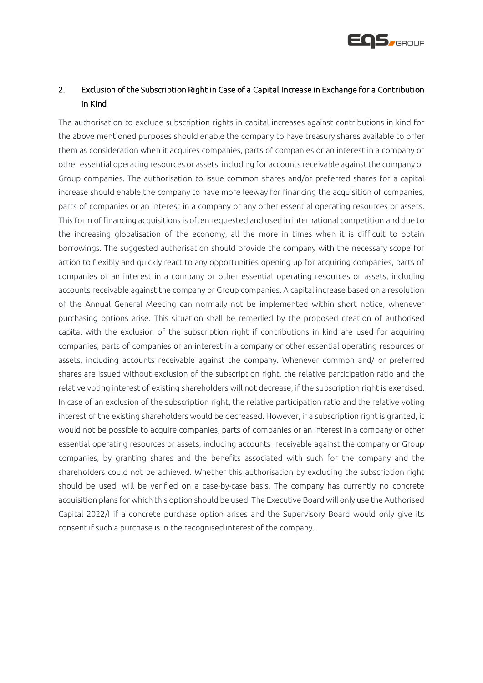

# 2. Exclusion of the Subscription Right in Case of a Capital Increase in Exchange for a Contribution in Kind

The authorisation to exclude subscription rights in capital increases against contributions in kind for the above mentioned purposes should enable the company to have treasury shares available to offer them as consideration when it acquires companies, parts of companies or an interest in a company or other essential operating resources or assets, including for accounts receivable against the company or Group companies. The authorisation to issue common shares and/or preferred shares for a capital increase should enable the company to have more leeway for financing the acquisition of companies, parts of companies or an interest in a company or any other essential operating resources or assets. This form of financing acquisitions is often requested and used in international competition and due to the increasing globalisation of the economy, all the more in times when it is difficult to obtain borrowings. The suggested authorisation should provide the company with the necessary scope for action to flexibly and quickly react to any opportunities opening up for acquiring companies, parts of companies or an interest in a company or other essential operating resources or assets, including accounts receivable against the company or Group companies. A capital increase based on a resolution of the Annual General Meeting can normally not be implemented within short notice, whenever purchasing options arise. This situation shall be remedied by the proposed creation of authorised capital with the exclusion of the subscription right if contributions in kind are used for acquiring companies, parts of companies or an interest in a company or other essential operating resources or assets, including accounts receivable against the company. Whenever common and/ or preferred shares are issued without exclusion of the subscription right, the relative participation ratio and the relative voting interest of existing shareholders will not decrease, if the subscription right is exercised. In case of an exclusion of the subscription right, the relative participation ratio and the relative voting interest of the existing shareholders would be decreased. However, if a subscription right is granted, it would not be possible to acquire companies, parts of companies or an interest in a company or other essential operating resources or assets, including accounts receivable against the company or Group companies, by granting shares and the benefits associated with such for the company and the shareholders could not be achieved. Whether this authorisation by excluding the subscription right should be used, will be verified on a case-by-case basis. The company has currently no concrete acquisition plans for which this option should be used. The Executive Board will only use the Authorised Capital 2022/I if a concrete purchase option arises and the Supervisory Board would only give its consent if such a purchase is in the recognised interest of the company.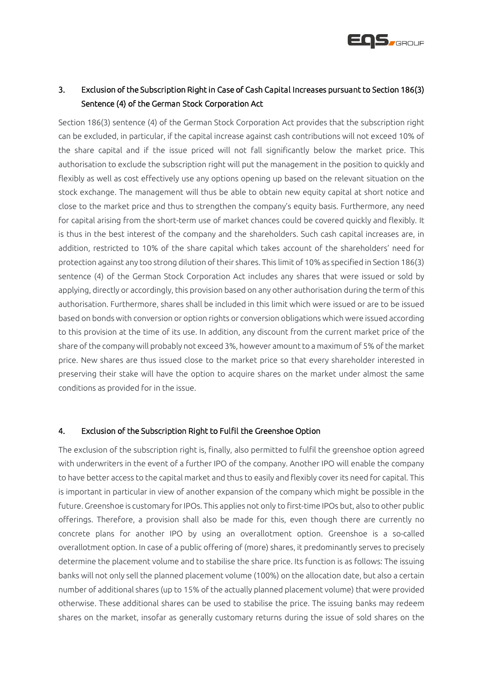

# 3. Exclusion of the Subscription Right in Case of Cash Capital Increases pursuant to Section 186(3) Sentence (4) of the German Stock Corporation Act

Section 186(3) sentence (4) of the German Stock Corporation Act provides that the subscription right can be excluded, in particular, if the capital increase against cash contributions will not exceed 10% of the share capital and if the issue priced will not fall significantly below the market price. This authorisation to exclude the subscription right will put the management in the position to quickly and flexibly as well as cost effectively use any options opening up based on the relevant situation on the stock exchange. The management will thus be able to obtain new equity capital at short notice and close to the market price and thus to strengthen the company's equity basis. Furthermore, any need for capital arising from the short-term use of market chances could be covered quickly and flexibly. It is thus in the best interest of the company and the shareholders. Such cash capital increases are, in addition, restricted to 10% of the share capital which takes account of the shareholders' need for protection against any too strong dilution of their shares. This limit of 10% as specified in Section 186(3) sentence (4) of the German Stock Corporation Act includes any shares that were issued or sold by applying, directly or accordingly, this provision based on any other authorisation during the term of this authorisation. Furthermore, shares shall be included in this limit which were issued or are to be issued based on bonds with conversion or option rights or conversion obligations which were issued according to this provision at the time of its use. In addition, any discount from the current market price of the share of the company will probably not exceed 3%, however amount to a maximum of 5% of the market price. New shares are thus issued close to the market price so that every shareholder interested in preserving their stake will have the option to acquire shares on the market under almost the same conditions as provided for in the issue.

### 4. Exclusion of the Subscription Right to Fulfil the Greenshoe Option

The exclusion of the subscription right is, finally, also permitted to fulfil the greenshoe option agreed with underwriters in the event of a further IPO of the company. Another IPO will enable the company to have better access to the capital market and thus to easily and flexibly cover its need for capital. This is important in particular in view of another expansion of the company which might be possible in the future. Greenshoe is customary for IPOs. This applies not only to first-time IPOs but, also to other public offerings. Therefore, a provision shall also be made for this, even though there are currently no concrete plans for another IPO by using an overallotment option. Greenshoe is a so-called overallotment option. In case of a public offering of (more) shares, it predominantly serves to precisely determine the placement volume and to stabilise the share price. Its function is as follows: The issuing banks will not only sell the planned placement volume (100%) on the allocation date, but also a certain number of additional shares (up to 15% of the actually planned placement volume) that were provided otherwise. These additional shares can be used to stabilise the price. The issuing banks may redeem shares on the market, insofar as generally customary returns during the issue of sold shares on the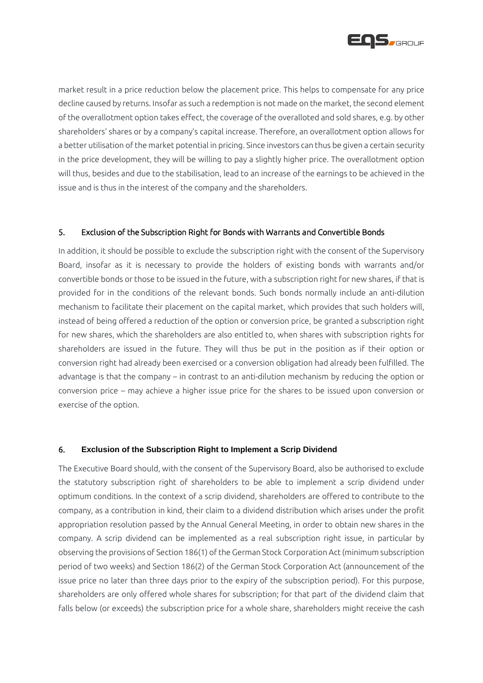

market result in a price reduction below the placement price. This helps to compensate for any price decline caused by returns. Insofar as such a redemption is not made on the market, the second element of the overallotment option takes effect, the coverage of the overalloted and sold shares, e.g. by other shareholders' shares or by a company's capital increase. Therefore, an overallotment option allows for a better utilisation of the market potential in pricing. Since investors can thus be given a certain security in the price development, they will be willing to pay a slightly higher price. The overallotment option will thus, besides and due to the stabilisation, lead to an increase of the earnings to be achieved in the issue and is thus in the interest of the company and the shareholders.

## 5. Exclusion of the Subscription Right for Bonds with Warrants and Convertible Bonds

In addition, it should be possible to exclude the subscription right with the consent of the Supervisory Board, insofar as it is necessary to provide the holders of existing bonds with warrants and/or convertible bonds or those to be issued in the future, with a subscription right for new shares, if that is provided for in the conditions of the relevant bonds. Such bonds normally include an anti-dilution mechanism to facilitate their placement on the capital market, which provides that such holders will, instead of being offered a reduction of the option or conversion price, be granted a subscription right for new shares, which the shareholders are also entitled to, when shares with subscription rights for shareholders are issued in the future. They will thus be put in the position as if their option or conversion right had already been exercised or a conversion obligation had already been fulfilled. The advantage is that the company – in contrast to an anti-dilution mechanism by reducing the option or conversion price – may achieve a higher issue price for the shares to be issued upon conversion or exercise of the option.

#### 6. **Exclusion of the Subscription Right to Implement a Scrip Dividend**

The Executive Board should, with the consent of the Supervisory Board, also be authorised to exclude the statutory subscription right of shareholders to be able to implement a scrip dividend under optimum conditions. In the context of a scrip dividend, shareholders are offered to contribute to the company, as a contribution in kind, their claim to a dividend distribution which arises under the profit appropriation resolution passed by the Annual General Meeting, in order to obtain new shares in the company. A scrip dividend can be implemented as a real subscription right issue, in particular by observing the provisions of Section 186(1) of the German Stock Corporation Act (minimum subscription period of two weeks) and Section 186(2) of the German Stock Corporation Act (announcement of the issue price no later than three days prior to the expiry of the subscription period). For this purpose, shareholders are only offered whole shares for subscription; for that part of the dividend claim that falls below (or exceeds) the subscription price for a whole share, shareholders might receive the cash